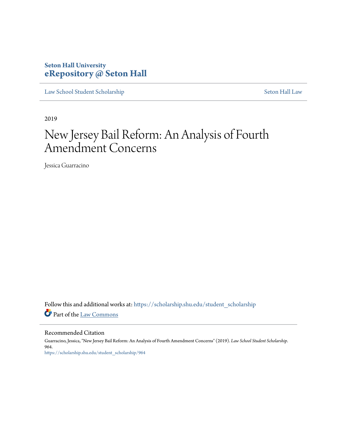# **Seton Hall University [eRepository @ Seton Hall](https://scholarship.shu.edu?utm_source=scholarship.shu.edu%2Fstudent_scholarship%2F964&utm_medium=PDF&utm_campaign=PDFCoverPages)**

[Law School Student Scholarship](https://scholarship.shu.edu/student_scholarship?utm_source=scholarship.shu.edu%2Fstudent_scholarship%2F964&utm_medium=PDF&utm_campaign=PDFCoverPages) [Seton Hall Law](https://scholarship.shu.edu/law?utm_source=scholarship.shu.edu%2Fstudent_scholarship%2F964&utm_medium=PDF&utm_campaign=PDFCoverPages)

2019

# New Jersey Bail Reform: An Analysis of Fourth Amendment Concerns

Jessica Guarracino

Follow this and additional works at: [https://scholarship.shu.edu/student\\_scholarship](https://scholarship.shu.edu/student_scholarship?utm_source=scholarship.shu.edu%2Fstudent_scholarship%2F964&utm_medium=PDF&utm_campaign=PDFCoverPages) Part of the [Law Commons](http://network.bepress.com/hgg/discipline/578?utm_source=scholarship.shu.edu%2Fstudent_scholarship%2F964&utm_medium=PDF&utm_campaign=PDFCoverPages)

Recommended Citation Guarracino, Jessica, "New Jersey Bail Reform: An Analysis of Fourth Amendment Concerns" (2019). *Law School Student Scholarship*. 964. [https://scholarship.shu.edu/student\\_scholarship/964](https://scholarship.shu.edu/student_scholarship/964?utm_source=scholarship.shu.edu%2Fstudent_scholarship%2F964&utm_medium=PDF&utm_campaign=PDFCoverPages)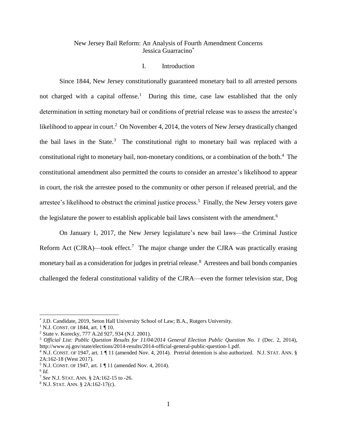# New Jersey Bail Reform: An Analysis of Fourth Amendment Concerns Jessica Guarracino\*

## I. Introduction

Since 1844, New Jersey constitutionally guaranteed monetary bail to all arrested persons not charged with a capital offense.<sup>1</sup> During this time, case law established that the only determination in setting monetary bail or conditions of pretrial release was to assess the arrestee's likelihood to appear in court.<sup>2</sup> On November 4, 2014, the voters of New Jersey drastically changed the bail laws in the State. $3$  The constitutional right to monetary bail was replaced with a constitutional right to monetary bail, non-monetary conditions, or a combination of the both.<sup>4</sup> The constitutional amendment also permitted the courts to consider an arrestee's likelihood to appear in court, the risk the arrestee posed to the community or other person if released pretrial, and the arrestee's likelihood to obstruct the criminal justice process.<sup>5</sup> Finally, the New Jersey voters gave the legislature the power to establish applicable bail laws consistent with the amendment.<sup>6</sup>

On January 1, 2017, the New Jersey legislature's new bail laws—the Criminal Justice Reform Act (CJRA)—took effect.<sup>7</sup> The major change under the CJRA was practically erasing monetary bail as a consideration for judges in pretrial release.<sup>8</sup> Arrestees and bail bonds companies challenged the federal constitutional validity of the CJRA—even the former television star, Dog

<sup>\*</sup> J.D. Candidate, 2019, Seton Hall University School of Law; B.A., Rutgers University.

<sup>&</sup>lt;sup>1</sup> N.J. CONST. OF 1844, art. 1 ¶ 10.

<sup>2</sup> State v. Korecky, 777 A.2d 927, 934 (N.J. 2001).

<sup>3</sup> *Official List: Public Question Results for 11/04/2014 General Election Public Question No. 1* (Dec. 2, 2014), http://www.nj.gov/state/elections/2014-results/2014-official-general-public-question-1.pdf.

<sup>4</sup> N.J. CONST. OF 1947, art. 1 ¶ 11 (amended Nov. 4, 2014). Pretrial detention is also authorized. N.J. STAT. ANN. § 2A:162-18 (West 2017).

<sup>5</sup> N.J. CONST. OF 1947, art. 1 ¶ 11 (amended Nov. 4, 2014).

<sup>6</sup> *Id.*

<sup>7</sup> *See* N.J. STAT. ANN. § 2A:162-15 to -26.

<sup>8</sup> N.J. STAT. ANN. § 2A:162-17(c).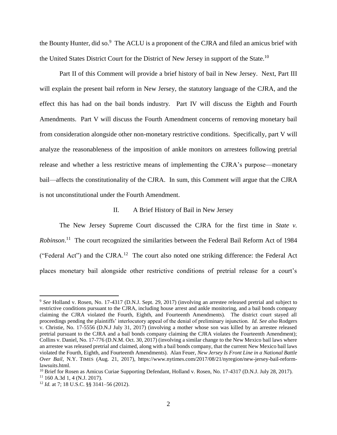the Bounty Hunter, did so.<sup>9</sup> The ACLU is a proponent of the CJRA and filed an amicus brief with the United States District Court for the District of New Jersey in support of the State.<sup>10</sup>

Part II of this Comment will provide a brief history of bail in New Jersey. Next, Part III will explain the present bail reform in New Jersey, the statutory language of the CJRA, and the effect this has had on the bail bonds industry. Part IV will discuss the Eighth and Fourth Amendments. Part V will discuss the Fourth Amendment concerns of removing monetary bail from consideration alongside other non-monetary restrictive conditions. Specifically, part V will analyze the reasonableness of the imposition of ankle monitors on arrestees following pretrial release and whether a less restrictive means of implementing the CJRA's purpose—monetary bail—affects the constitutionality of the CJRA. In sum, this Comment will argue that the CJRA is not unconstitutional under the Fourth Amendment.

#### II. A Brief History of Bail in New Jersey

The New Jersey Supreme Court discussed the CJRA for the first time in *State v. Robinson*. 11 The court recognized the similarities between the Federal Bail Reform Act of 1984 ("Federal Act") and the CJRA.<sup>12</sup> The court also noted one striking difference: the Federal Act places monetary bail alongside other restrictive conditions of pretrial release for a court's

<sup>&</sup>lt;sup>9</sup> See Holland v. Rosen, No. 17-4317 (D.N.J. Sept. 29, 2017) (involving an arrestee released pretrial and subject to restrictive conditions pursuant to the CJRA, including house arrest and ankle monitoring, and a bail bonds company claiming the CJRA violated the Fourth, Eighth, and Fourteenth Amendments). The district court stayed all proceedings pending the plaintiffs' interlocutory appeal of the denial of preliminary injunction. *Id. See also* Rodgers v. Christie, No. 17-5556 (D.N.J July 31, 2017) (involving a mother whose son was killed by an arrestee released pretrial pursuant to the CJRA and a bail bonds company claiming the CJRA violates the Fourteenth Amendment); Collins v. Daniel, No. 17-776 (D.N.M. Oct. 30, 2017) (involving a similar change to the New Mexico bail laws where an arrestee was released pretrial and claimed, along with a bail bonds company, that the current New Mexico bail laws violated the Fourth, Eighth, and Fourteenth Amendments). Alan Feuer, *New Jersey Is Front Line in a National Battle Over Bail*, N.Y. TIMES (Aug. 21, 2017), https://www.nytimes.com/2017/08/21/nyregion/new-jersey-bail-reformlawsuits.html.

<sup>&</sup>lt;sup>10</sup> Brief for Rosen as Amicus Curiae Supporting Defendant, Holland v. Rosen, No. 17-4317 (D.N.J. July 28, 2017).  $11$  160 A.3d 1, 4 (N.J. 2017).

<sup>12</sup> *Id.* at 7; 18 U.S.C. §§ 3141–56 (2012).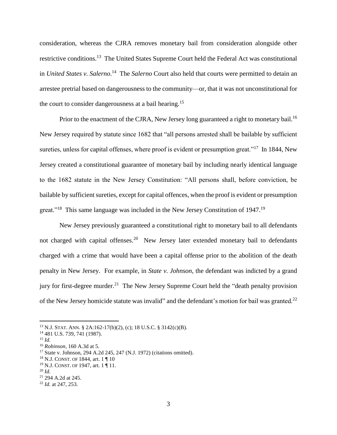consideration, whereas the CJRA removes monetary bail from consideration alongside other restrictive conditions.<sup>13</sup> The United States Supreme Court held the Federal Act was constitutional in *United States v. Salerno*. 14 The *Salerno* Court also held that courts were permitted to detain an arrestee pretrial based on dangerousness to the community—or, that it was not unconstitutional for the court to consider dangerousness at a bail hearing.<sup>15</sup>

Prior to the enactment of the CJRA, New Jersey long guaranteed a right to monetary bail.<sup>16</sup> New Jersey required by statute since 1682 that "all persons arrested shall be bailable by sufficient sureties, unless for capital offenses, where proof is evident or presumption great."<sup>17</sup> In 1844, New Jersey created a constitutional guarantee of monetary bail by including nearly identical language to the 1682 statute in the New Jersey Constitution: "All persons shall, before conviction, be bailable by sufficient sureties, except for capital offences, when the proof is evident or presumption great."<sup>18</sup> This same language was included in the New Jersey Constitution of 1947.<sup>19</sup>

New Jersey previously guaranteed a constitutional right to monetary bail to all defendants not charged with capital offenses.<sup>20</sup> New Jersey later extended monetary bail to defendants charged with a crime that would have been a capital offense prior to the abolition of the death penalty in New Jersey. For example, in *State v. Johnson*, the defendant was indicted by a grand jury for first-degree murder.<sup>21</sup> The New Jersey Supreme Court held the "death penalty provision" of the New Jersey homicide statute was invalid" and the defendant's motion for bail was granted.<sup>22</sup>

 $^{13}$  N.J. STAT. ANN. § 2A:162-17(b)(2), (c); 18 U.S.C. § 3142(c)(B).

<sup>14</sup> 481 U.S. 739, 741 (1987).

<sup>15</sup> *Id.*

<sup>16</sup> *Robinson*, 160 A.3d at 5.

<sup>17</sup> State v. Johnson, 294 A.2d 245, 247 (N.J. 1972) (citations omitted).

<sup>18</sup> N.J. CONST. OF 1844, art. 1 ¶ 10

<sup>&</sup>lt;sup>19</sup> N.J. CONST. OF 1947, art. 1 ¶ 11.

<sup>20</sup> *Id.*

<sup>21</sup> 294 A.2d at 245.

<sup>22</sup> *Id.* at 247, 253.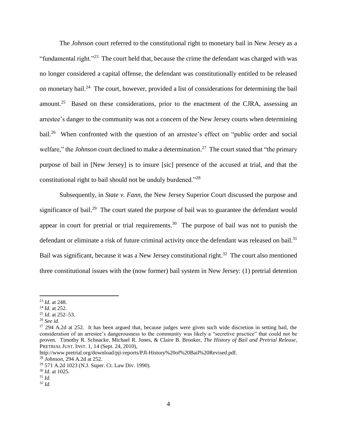The *Johnson* court referred to the constitutional right to monetary bail in New Jersey as a "fundamental right." $^{23}$  The court held that, because the crime the defendant was charged with was no longer considered a capital offense, the defendant was constitutionally entitled to be released on monetary bail.<sup>24</sup> The court, however, provided a list of considerations for determining the bail amount.<sup>25</sup> Based on these considerations, prior to the enactment of the CJRA, assessing an arrestee's danger to the community was not a concern of the New Jersey courts when determining bail.<sup>26</sup> When confronted with the question of an arrestee's effect on "public order and social welfare," the *Johnson* court declined to make a determination.<sup>27</sup> The court stated that "the primary purpose of bail in [New Jersey] is to insure [sic] presence of the accused at trial, and that the constitutional right to bail should not be unduly burdened."<sup>28</sup>

<span id="page-4-0"></span>Subsequently, in *State v. Fann*, the New Jersey Superior Court discussed the purpose and significance of bail.<sup>29</sup> The court stated the purpose of bail was to guarantee the defendant would appear in court for pretrial or trial requirements.<sup>30</sup> The purpose of bail was not to punish the defendant or eliminate a risk of future criminal activity once the defendant was released on bail.<sup>31</sup> Bail was significant, because it was a New Jersey constitutional right.<sup>32</sup> The court also mentioned three constitutional issues with the (now former) bail system in New Jersey: (1) pretrial detention

 $\overline{a}$ 

<sup>26</sup> *See id.*

<sup>23</sup> *Id.* at 248.

<sup>24</sup> *Id.* at 252.

<sup>25</sup> *Id.* at 252–53.

 $27$  294 A.2d at 252. It has been argued that, because judges were given such wide discretion in setting bail, the consideration of an arrestee's dangerousness to the community was likely a "secretive practice" that could not be proven. Timothy R. Schnacke, Michael R. Jones, & Claire B. Brooker, *The History of Bail and Pretrial Release*, PRETRIAL JUST. INST. 1, 14 (Sept. 24, 2010),

http://www.pretrial.org/download/pji-reports/PJI-History%20of%20Bail%20Revised.pdf.

<sup>28</sup> *Johnson*, 294 A.2d at 252.

<sup>29</sup> 571 A.2d 1023 (N.J. Super. Ct. Law Div. 1990).

<sup>30</sup> *Id.* at 1025.

<sup>31</sup> *Id.*

<sup>32</sup> *Id.*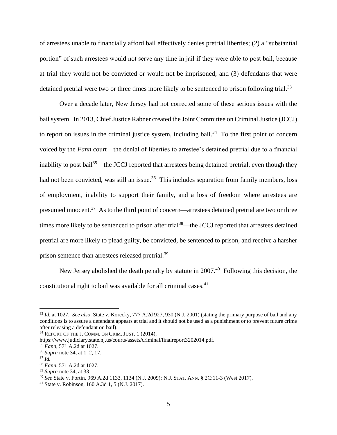of arrestees unable to financially afford bail effectively denies pretrial liberties; (2) a "substantial portion" of such arrestees would not serve any time in jail if they were able to post bail, because at trial they would not be convicted or would not be imprisoned; and (3) defendants that were detained pretrial were two or three times more likely to be sentenced to prison following trial.<sup>33</sup>

<span id="page-5-0"></span>Over a decade later, New Jersey had not corrected some of these serious issues with the bail system. In 2013, Chief Justice Rabner created the Joint Committee on Criminal Justice (JCCJ) to report on issues in the criminal justice system, including bail. $34$  To the first point of concern voiced by the *Fann* court—the denial of liberties to arrestee's detained pretrial due to a financial inability to post bail<sup>35</sup>—the JCCJ reported that arrestees being detained pretrial, even though they had not been convicted, was still an issue.<sup>36</sup> This includes separation from family members, loss of employment, inability to support their family, and a loss of freedom where arrestees are presumed innocent.<sup>37</sup> As to the third point of concern—arrestees detained pretrial are two or three times more likely to be sentenced to prison after trial<sup>38</sup>—the JCCJ reported that arrestees detained pretrial are more likely to plead guilty, be convicted, be sentenced to prison, and receive a harsher prison sentence than arrestees released pretrial.<sup>39</sup>

New Jersey abolished the death penalty by statute in  $2007<sup>40</sup>$  Following this decision, the constitutional right to bail was available for all criminal cases. $41$ 

<sup>33</sup> *Id.* at 1027. *See also*, State v. Korecky, 777 A.2d 927, 930 (N.J. 2001) (stating the primary purpose of bail and any conditions is to assure a defendant appears at trial and it should not be used as a punishment or to prevent future crime after releasing a defendant on bail).

<sup>34</sup> REPORT OF THE J. COMM. ON CRIM. JUST. 1 (2014),

https://www.judiciary.state.nj.us/courts/assets/criminal/finalreport3202014.pdf.

<sup>35</sup> *Fann*, 571 A.2d at 1027.

<sup>36</sup> *Supra* note [34,](#page-5-0) at 1–2, 17.

<sup>37</sup> *Id.*

<sup>38</sup> *Fann*, 571 A.2d at 1027.

<sup>39</sup> *Supra* note [34,](#page-5-0) at 33.

<sup>40</sup> *See* State v. Fortin, 969 A.2d 1133, 1134 (N.J. 2009); N.J. STAT. ANN. § 2C:11-3 (West 2017).

<sup>41</sup> State v. Robinson, 160 A.3d 1, 5 (N.J. 2017).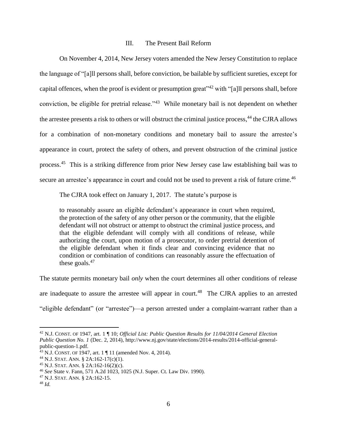#### III. The Present Bail Reform

On November 4, 2014, New Jersey voters amended the New Jersey Constitution to replace the language of "[a]ll persons shall, before conviction, be bailable by sufficient sureties, except for capital offences, when the proof is evident or presumption great"<sup>42</sup> with "[a]ll persons shall, before conviction, be eligible for pretrial release."<sup>43</sup> While monetary bail is not dependent on whether the arrestee presents a risk to others or will obstruct the criminal justice process,<sup>44</sup> the CJRA allows for a combination of non-monetary conditions and monetary bail to assure the arrestee's appearance in court, protect the safety of others, and prevent obstruction of the criminal justice process.<sup>45</sup> This is a striking difference from prior New Jersey case law establishing bail was to secure an arrestee's appearance in court and could not be used to prevent a risk of future crime.<sup>46</sup>

The CJRA took effect on January 1, 2017. The statute's purpose is

to reasonably assure an eligible defendant's appearance in court when required, the protection of the safety of any other person or the community, that the eligible defendant will not obstruct or attempt to obstruct the criminal justice process, and that the eligible defendant will comply with all conditions of release, while authorizing the court, upon motion of a prosecutor, to order pretrial detention of the eligible defendant when it finds clear and convincing evidence that no condition or combination of conditions can reasonably assure the effectuation of these goals. $47$ 

The statute permits monetary bail *only* when the court determines all other conditions of release are inadequate to assure the arrestee will appear in court.<sup>48</sup> The CJRA applies to an arrested "eligible defendant" (or "arrestee")—a person arrested under a complaint-warrant rather than a

<sup>42</sup> N.J. CONST. OF 1947, art. 1 ¶ 10; *Official List: Public Question Results for 11/04/2014 General Election Public Question No. 1* (Dec. 2, 2014), http://www.nj.gov/state/elections/2014-results/2014-official-generalpublic-question-1.pdf.

<sup>43</sup> N.J. CONST. OF 1947, art. 1 ¶ 11 (amended Nov. 4, 2014).

<sup>44</sup> N.J. STAT. ANN. § 2A:162-17(c)(1).

<sup>45</sup> N.J. STAT. ANN. § 2A:162-16(2)(c).

<sup>46</sup> *See* State v. Fann, 571 A.2d 1023, 1025 (N.J. Super. Ct. Law Div. 1990).

<sup>47</sup> N.J. STAT. ANN. § 2A:162-15.

<sup>48</sup> *Id.*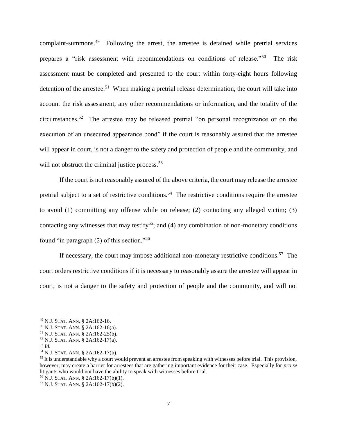complaint-summons.<sup>49</sup> Following the arrest, the arrestee is detained while pretrial services prepares a "risk assessment with recommendations on conditions of release."<sup>50</sup> The risk assessment must be completed and presented to the court within forty-eight hours following detention of the arrestee.<sup>51</sup> When making a pretrial release determination, the court will take into account the risk assessment, any other recommendations or information, and the totality of the circumstances.<sup>52</sup> The arrestee may be released pretrial "on personal recognizance or on the execution of an unsecured appearance bond" if the court is reasonably assured that the arrestee will appear in court, is not a danger to the safety and protection of people and the community, and will not obstruct the criminal justice process.<sup>53</sup>

If the court is not reasonably assured of the above criteria, the court may release the arrestee pretrial subject to a set of restrictive conditions.<sup>54</sup> The restrictive conditions require the arrestee to avoid (1) committing any offense while on release; (2) contacting any alleged victim; (3) contacting any witnesses that may testify<sup>55</sup>; and (4) any combination of non-monetary conditions found "in paragraph (2) of this section."<sup>56</sup>

If necessary, the court may impose additional non-monetary restrictive conditions.<sup>57</sup> The court orders restrictive conditions if it is necessary to reasonably assure the arrestee will appear in court, is not a danger to the safety and protection of people and the community, and will not

<sup>49</sup> N.J. STAT. ANN. § 2A:162-16.

<sup>50</sup> N.J. STAT. ANN. § 2A:162-16(a).

<sup>51</sup> N.J. STAT. ANN. § 2A:162-25(b).

<sup>52</sup> N.J. STAT. ANN. § 2A:162-17(a).

<sup>53</sup> *Id.*

<sup>54</sup> N.J. STAT. ANN. § 2A:162-17(b).

<sup>&</sup>lt;sup>55</sup> It is understandable why a court would prevent an arrestee from speaking with witnesses before trial. This provision, however, may create a barrier for arrestees that are gathering important evidence for their case. Especially for *pro se* litigants who would not have the ability to speak with witnesses before trial. <sup>56</sup> N.J. STAT. ANN. § 2A:162-17(b)(1).

<sup>57</sup> N.J. STAT. ANN. § 2A:162-17(b)(2).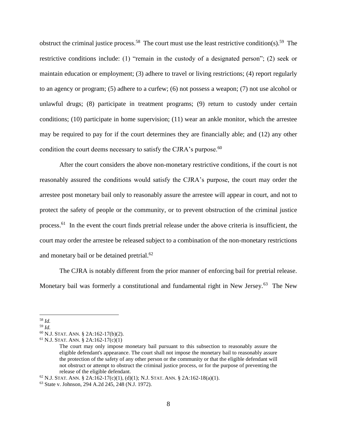obstruct the criminal justice process.<sup>58</sup> The court must use the least restrictive condition(s).<sup>59</sup> The restrictive conditions include: (1) "remain in the custody of a designated person"; (2) seek or maintain education or employment; (3) adhere to travel or living restrictions; (4) report regularly to an agency or program; (5) adhere to a curfew; (6) not possess a weapon; (7) not use alcohol or unlawful drugs; (8) participate in treatment programs; (9) return to custody under certain conditions; (10) participate in home supervision; (11) wear an ankle monitor, which the arrestee may be required to pay for if the court determines they are financially able; and (12) any other condition the court deems necessary to satisfy the CJRA's purpose.<sup>60</sup>

After the court considers the above non-monetary restrictive conditions, if the court is not reasonably assured the conditions would satisfy the CJRA's purpose, the court may order the arrestee post monetary bail only to reasonably assure the arrestee will appear in court, and not to protect the safety of people or the community, or to prevent obstruction of the criminal justice process.<sup>61</sup> In the event the court finds pretrial release under the above criteria is insufficient, the court may order the arrestee be released subject to a combination of the non-monetary restrictions and monetary bail or be detained pretrial.<sup>62</sup>

The CJRA is notably different from the prior manner of enforcing bail for pretrial release. Monetary bail was formerly a constitutional and fundamental right in New Jersey.<sup>63</sup> The New

<sup>58</sup> *Id.*

<sup>59</sup> *Id.*

<sup>60</sup> N.J. STAT. ANN. § 2A:162-17(b)(2).

<sup>61</sup> N.J. STAT. ANN. § 2A:162-17(c)(1)

The court may only impose monetary bail pursuant to this subsection to reasonably assure the eligible defendant's appearance. The court shall not impose the monetary bail to reasonably assure the protection of the safety of any other person or the community or that the eligible defendant will not obstruct or attempt to obstruct the criminal justice process, or for the purpose of preventing the release of the eligible defendant.

 $62$  N.J. STAT. ANN. § 2A:162-17(c)(1), (d)(1); N.J. STAT. ANN. § 2A:162-18(a)(1).

<sup>63</sup> State v. Johnson, 294 A.2d 245, 248 (N.J. 1972).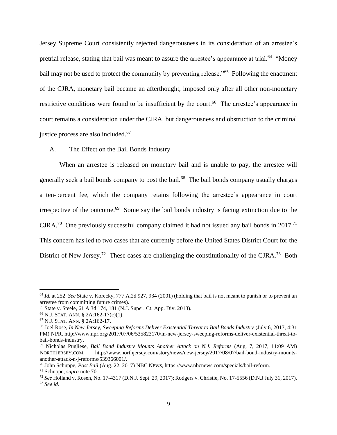Jersey Supreme Court consistently rejected dangerousness in its consideration of an arrestee's pretrial release, stating that bail was meant to assure the arrestee's appearance at trial.<sup>64</sup> "Money bail may not be used to protect the community by preventing release."<sup>65</sup> Following the enactment of the CJRA, monetary bail became an afterthought, imposed only after all other non-monetary restrictive conditions were found to be insufficient by the court.<sup>66</sup> The arrestee's appearance in court remains a consideration under the CJRA, but dangerousness and obstruction to the criminal justice process are also included.<sup>67</sup>

## A. The Effect on the Bail Bonds Industry

<span id="page-9-1"></span><span id="page-9-0"></span>When an arrestee is released on monetary bail and is unable to pay, the arrestee will generally seek a bail bonds company to post the bail.<sup>68</sup> The bail bonds company usually charges a ten-percent fee, which the company retains following the arrestee's appearance in court irrespective of the outcome.<sup>69</sup> Some say the bail bonds industry is facing extinction due to the CJRA.<sup>70</sup> One previously successful company claimed it had not issued any bail bonds in 2017.<sup>71</sup> This concern has led to two cases that are currently before the United States District Court for the District of New Jersey.<sup>72</sup> These cases are challenging the constitutionality of the CJRA.<sup>73</sup> Both

<sup>64</sup> *Id.* at 252. *See* State v. Korecky, 777 A.2d 927, 934 (2001) (holding that bail is not meant to punish or to prevent an arrestee from committing future crimes).

<sup>65</sup> State v. Steele, 61 A.3d 174, 181 (N.J. Super. Ct. App. Div. 2013).

<sup>66</sup> N.J. STAT. ANN. § 2A:162-17(c)(1).

<sup>67</sup> N.J. STAT. ANN. § 2A:162-17.

<sup>68</sup> Joel Rose, *In New Jersey, Sweeping Reforms Deliver Existential Threat to Bail Bonds Industry* (July 6, 2017, 4:31 PM) NPR, http://www.npr.org/2017/07/06/535823170/in-new-jersey-sweeping-reforms-deliver-existential-threat-tobail-bonds-industry.

<sup>69</sup> Nicholas Pugliese, *Bail Bond Industry Mounts Another Attack on N.J. Reforms* (Aug. 7, 2017, 11:09 AM) NORTHJERSEY.COM, http://www.northjersey.com/story/news/new-jersey/2017/08/07/bail-bond-industry-mountsanother-attack-n-j-reforms/539366001/.

<sup>70</sup> John Schuppe, *Post Bail* (Aug. 22, 2017) NBC NEWS, https://www.nbcnews.com/specials/bail-reform.

<sup>71</sup> Schuppe, *supra* note [70.](#page-9-0)

<sup>72</sup> *See* Holland v. Rosen, No. 17-4317 (D.N.J. Sept. 29, 2017); Rodgers v. Christie, No. 17-5556 (D.N.J July 31, 2017). <sup>73</sup> *See id.*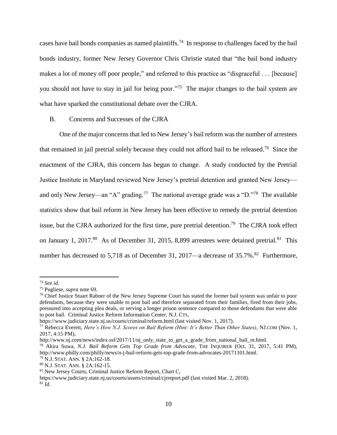cases have bail bonds companies as named plaintiffs.<sup>74</sup> In response to challenges faced by the bail bonds industry, former New Jersey Governor Chris Christie stated that "the bail bond industry makes a lot of money off poor people," and referred to this practice as "disgraceful . . . [because] you should not have to stay in jail for being poor.<sup>775</sup> The major changes to the bail system are what have sparked the constitutional debate over the CJRA.

#### <span id="page-10-0"></span>B. Concerns and Successes of the CJRA

One of the major concerns that led to New Jersey's bail reform was the number of arrestees that remained in jail pretrial solely because they could not afford bail to be released.<sup>76</sup> Since the enactment of the CJRA, this concern has begun to change. A study conducted by the Pretrial Justice Institute in Maryland reviewed New Jersey's pretrial detention and granted New Jersey and only New Jersey—an "A" grading.<sup>77</sup> The national average grade was a "D."<sup>78</sup> The available statistics show that bail reform in New Jersey has been effective to remedy the pretrial detention issue, but the CJRA authorized for the first time, pure pretrial detention.<sup>79</sup> The CJRA took effect on January 1, 2017.<sup>80</sup> As of December 31, 2015, 8,899 arrestees were detained pretrial.<sup>81</sup> This number has decreased to 5,718 as of December 31, 2017—a decrease of 35.7%.<sup>82</sup> Furthermore,

<sup>74</sup> *See id.*

<sup>75</sup> Pugliese, *supra* note [69.](#page-9-1)

<sup>&</sup>lt;sup>76</sup> Chief Justice Stuart Rabner of the New Jersey Supreme Court has stated the former bail system was unfair to poor defendants, because they were unable to post bail and therefore separated from their families, fired from their jobs, pressured into accepting plea deals, or serving a longer prison sentence compared to those defendants that were able to post bail. Criminal Justice Reform Information Center, N.J. CTS,

https://www.judiciary.state.nj.us/courts/criminal/reform.html (last visited Nov. 1, 2017).

<sup>77</sup> Rebecca Everett, *Here's How N.J. Scores on Bail Reform (Hint: It's Better Than Other States)*, NJ.COM (Nov. 1, 2017, 4:15 PM),

http://www.nj.com/news/index.ssf/2017/11/nj\_only\_state\_to\_get\_a\_grade\_from\_national\_bail\_re.html.

<sup>78</sup> Akira Suwa, *N.J. Bail Reform Gets Top Grade from Advocate*, THE INQUIRER (Oct. 31, 2017, 5:41 PM), http://www.philly.com/philly/news/n-j-bail-reform-gets-top-grade-from-advocates-20171101.html.

<sup>79</sup> N.J. STAT. ANN. § 2A:162-18.

<sup>80</sup> N.J. STAT. ANN. § 2A:162-15.

<sup>81</sup> New Jersey Courts, Criminal Justice Reform Report, Chart C,

https://www.judiciary.state.nj.us/courts/assets/criminal/cjrreport.pdf (last visited Mar. 2, 2018). <sup>82</sup> *Id.*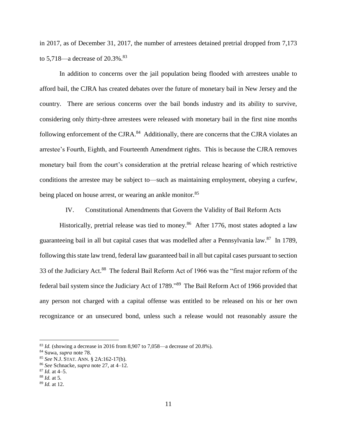in 2017, as of December 31, 2017, the number of arrestees detained pretrial dropped from 7,173 to  $5,718$ —a decrease of  $20.3\%$ .<sup>83</sup>

In addition to concerns over the jail population being flooded with arrestees unable to afford bail, the CJRA has created debates over the future of monetary bail in New Jersey and the country. There are serious concerns over the bail bonds industry and its ability to survive, considering only thirty-three arrestees were released with monetary bail in the first nine months following enforcement of the CJRA.<sup>84</sup> Additionally, there are concerns that the CJRA violates an arrestee's Fourth, Eighth, and Fourteenth Amendment rights. This is because the CJRA removes monetary bail from the court's consideration at the pretrial release hearing of which restrictive conditions the arrestee may be subject to—such as maintaining employment, obeying a curfew, being placed on house arrest, or wearing an ankle monitor.<sup>85</sup>

IV. Constitutional Amendments that Govern the Validity of Bail Reform Acts

Historically, pretrial release was tied to money.<sup>86</sup> After 1776, most states adopted a law guaranteeing bail in all but capital cases that was modelled after a Pennsylvania law.<sup>87</sup> In 1789, following this state law trend, federal law guaranteed bail in all but capital cases pursuant to section 33 of the Judiciary Act.<sup>88</sup> The federal Bail Reform Act of 1966 was the "first major reform of the federal bail system since the Judiciary Act of 1789." <sup>89</sup> The Bail Reform Act of 1966 provided that any person not charged with a capital offense was entitled to be released on his or her own recognizance or an unsecured bond, unless such a release would not reasonably assure the

 $^{83}$  *Id.* (showing a decrease in 2016 from 8,907 to 7,058—a decrease of 20.8%).

<sup>84</sup> Suwa, *supra* note [78.](#page-10-0)

<sup>85</sup> *See* N.J. STAT. ANN. § 2A:162-17(b).

<sup>86</sup> *See* Schnacke, *supra* not[e 27,](#page-4-0) at 4–12.

<sup>87</sup> *Id.* at 4–5.

<sup>88</sup> *Id.* at 5.

<sup>89</sup> *Id.* at 12.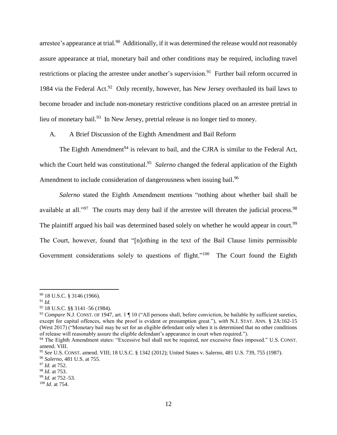arrestee's appearance at trial.<sup>90</sup> Additionally, if it was determined the release would not reasonably assure appearance at trial, monetary bail and other conditions may be required, including travel restrictions or placing the arrestee under another's supervision.<sup>91</sup> Further bail reform occurred in 1984 via the Federal Act.<sup>92</sup> Only recently, however, has New Jersey overhauled its bail laws to become broader and include non-monetary restrictive conditions placed on an arrestee pretrial in lieu of monetary bail.<sup>93</sup> In New Jersey, pretrial release is no longer tied to money.

A. A Brief Discussion of the Eighth Amendment and Bail Reform

The Eighth Amendment<sup>94</sup> is relevant to bail, and the CJRA is similar to the Federal Act, which the Court held was constitutional.<sup>95</sup> Salerno changed the federal application of the Eighth Amendment to include consideration of dangerousness when issuing bail.<sup>96</sup>

*Salerno* stated the Eighth Amendment mentions "nothing about whether bail shall be available at all."<sup>97</sup> The courts may deny bail if the arrestee will threaten the judicial process.<sup>98</sup> The plaintiff argued his bail was determined based solely on whether he would appear in court.<sup>99</sup> The Court, however, found that "[n]othing in the text of the Bail Clause limits permissible Government considerations solely to questions of flight."<sup>100</sup> The Court found the Eighth

<sup>90</sup> 18 U.S.C. § 3146 (1966).

<sup>91</sup> *Id.*

<sup>92</sup> 18 U.S.C. §§ 3141–56 (1984).

<sup>93</sup> *Compare* N.J. CONST. OF 1947, art. 1 ¶ 10 ("All persons shall, before conviction, be bailable by sufficient sureties, except for capital offences, when the proof is evident or presumption great."), *with* N.J. STAT. ANN. § 2A:162-15 (West 2017) ("Monetary bail may be set for an eligible defendant only when it is determined that no other conditions of release will reasonably assure the eligible defendant's appearance in court when required.").

<sup>94</sup> The Eighth Amendment states: "Excessive bail shall not be required, nor excessive fines imposed." U.S. CONST. amend. VIII.

<sup>95</sup> *See* U.S. CONST. amend. VIII; 18 U.S.C. § 1342 (2012); United States v. Salerno, 481 U.S. 739, 755 (1987).

<sup>96</sup> *Salerno*, 481 U.S. at 755.

<sup>97</sup> *Id.* at 752.

<sup>98</sup> *Id.* at 753.

<sup>99</sup> *Id.* at 752–53.

<sup>100</sup> *Id.* at 754.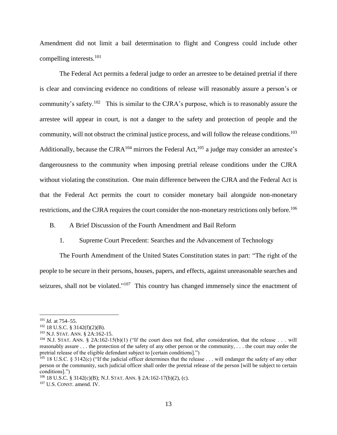Amendment did not limit a bail determination to flight and Congress could include other compelling interests.<sup>101</sup>

The Federal Act permits a federal judge to order an arrestee to be detained pretrial if there is clear and convincing evidence no conditions of release will reasonably assure a person's or community's safety.<sup>102</sup> This is similar to the CJRA's purpose, which is to reasonably assure the arrestee will appear in court, is not a danger to the safety and protection of people and the community, will not obstruct the criminal justice process, and will follow the release conditions. 103 Additionally, because the CJRA<sup>104</sup> mirrors the Federal Act,<sup>105</sup> a judge may consider an arrestee's dangerousness to the community when imposing pretrial release conditions under the CJRA without violating the constitution. One main difference between the CJRA and the Federal Act is that the Federal Act permits the court to consider monetary bail alongside non-monetary restrictions, and the CJRA requires the court consider the non-monetary restrictions only before.<sup>106</sup>

B. A Brief Discussion of the Fourth Amendment and Bail Reform

1. Supreme Court Precedent: Searches and the Advancement of Technology

The Fourth Amendment of the United States Constitution states in part: "The right of the people to be secure in their persons, houses, papers, and effects, against unreasonable searches and seizures, shall not be violated."<sup>107</sup> This country has changed immensely since the enactment of

<sup>101</sup> *Id.* at 754–55.

 $102$  18 U.S.C. § 3142(f)(2)(B).

<sup>103</sup> N.J. STAT. ANN. § 2A:162-15.

<sup>&</sup>lt;sup>104</sup> N.J. STAT. ANN. § 2A:162-15(b)(1) ("If the court does not find, after consideration, that the release . . . will reasonably assure . . . the protection of the safety of any other person or the community, . . . the court may order the pretrial release of the eligible defendant subject to [certain conditions].")

 $^{105}$  18 U.S.C. § 3142(c) ("If the judicial officer determines that the release . . . will endanger the safety of any other person or the community, such judicial officer shall order the pretrial release of the person [will be subject to certain conditions].")

<sup>106</sup> 18 U.S.C. § 3142(c)(B); N.J. STAT. ANN. § 2A:162-17(b)(2), (c).

<sup>107</sup> U.S. CONST. amend. IV.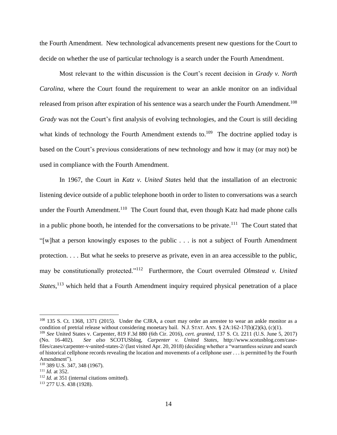the Fourth Amendment. New technological advancements present new questions for the Court to decide on whether the use of particular technology is a search under the Fourth Amendment.

Most relevant to the within discussion is the Court's recent decision in *Grady v. North Carolina*, where the Court found the requirement to wear an ankle monitor on an individual released from prison after expiration of his sentence was a search under the Fourth Amendment.<sup>108</sup> *Grady* was not the Court's first analysis of evolving technologies, and the Court is still deciding what kinds of technology the Fourth Amendment extends to.<sup>109</sup> The doctrine applied today is based on the Court's previous considerations of new technology and how it may (or may not) be used in compliance with the Fourth Amendment.

In 1967, the Court in *Katz v. United States* held that the installation of an electronic listening device outside of a public telephone booth in order to listen to conversations was a search under the Fourth Amendment.<sup>110</sup> The Court found that, even though Katz had made phone calls in a public phone booth, he intended for the conversations to be private.<sup>111</sup> The Court stated that "[w]hat a person knowingly exposes to the public . . . is not a subject of Fourth Amendment protection. . . . But what he seeks to preserve as private, even in an area accessible to the public, may be constitutionally protected."<sup>112</sup> Furthermore, the Court overruled *Olmstead v. United States*,<sup>113</sup> which held that a Fourth Amendment inquiry required physical penetration of a place

<sup>108</sup> 135 S. Ct. 1368, 1371 (2015). Under the CJRA, a court may order an arrestee to wear an ankle monitor as a condition of pretrial release without considering monetary bail. N.J. STAT. ANN.  $\S 2A:162-17(b)(2)(k)$ , (c)(1).

<sup>109</sup> *See* United States v. Carpenter, 819 F.3d 880 (6th Cir. 2016), *cert. granted*, 137 S. Ct. 2211 (U.S. June 5, 2017) (No. 16-402). *See also* SCOTUSblog, *Carpenter v. United States*, http://www.scotusblog.com/casefiles/cases/carpenter-v-united-states-2/ (last visited Apr. 20, 2018) (deciding whether a "warrantless seizure and search of historical cellphone records revealing the location and movements of a cellphone user . . . is permitted by the Fourth Amendment").

<sup>110</sup> 389 U.S. 347, 348 (1967).

<sup>111</sup> *Id.* at 352.

<sup>&</sup>lt;sup>112</sup> *Id.* at 351 (internal citations omitted).

<sup>113</sup> 277 U.S. 438 (1928).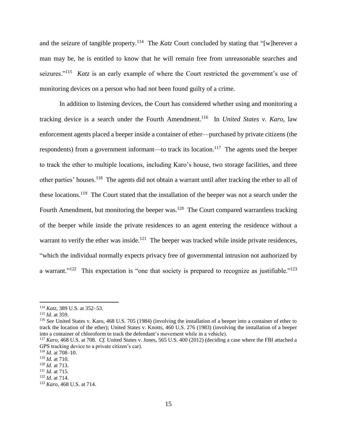and the seizure of tangible property.<sup>114</sup> The *Katz* Court concluded by stating that "[w]herever a man may be, he is entitled to know that he will remain free from unreasonable searches and seizures."<sup>115</sup> *Katz* is an early example of where the Court restricted the government's use of monitoring devices on a person who had not been found guilty of a crime.

In addition to listening devices, the Court has considered whether using and monitoring a tracking device is a search under the Fourth Amendment.<sup>116</sup> In *United States v. Karo*, law enforcement agents placed a beeper inside a container of ether—purchased by private citizens (the respondents) from a government informant—to track its location.<sup>117</sup> The agents used the beeper to track the ether to multiple locations, including Karo's house, two storage facilities, and three other parties' houses.<sup>118</sup> The agents did not obtain a warrant until after tracking the ether to all of these locations.<sup>119</sup> The Court stated that the installation of the beeper was not a search under the Fourth Amendment, but monitoring the beeper was.<sup>120</sup> The Court compared warrantless tracking of the beeper while inside the private residences to an agent entering the residence without a warrant to verify the ether was inside.<sup>121</sup> The beeper was tracked while inside private residences, "which the individual normally expects privacy free of governmental intrusion not authorized by a warrant."<sup>122</sup> This expectation is "one that society is prepared to recognize as justifiable."<sup>123</sup>

<sup>114</sup> *Katz*, 389 U.S. at 352–53.

<sup>115</sup> *Id.* at 359.

<sup>116</sup> *See* United States v. Karo, 468 U.S. 705 (1984) (involving the installation of a beeper into a container of ether to track the location of the ether); United States v. Knotts, 460 U.S. 276 (1983) (involving the installation of a beeper into a container of chloroform to track the defendant's movement while in a vehicle).

<sup>117</sup> *Karo*, 468 U.S. at 708. *Cf.* United States v. Jones, 565 U.S. 400 (2012) (deciding a case where the FBI attached a GPS tracking device to a private citizen's car).

<sup>118</sup> *Id.* at 708–10.

<sup>119</sup> *Id.* at 710.

<sup>120</sup> *Id.* at 713.

<sup>121</sup> *Id.* at 715.

<sup>122</sup> *Id.* at 714.

<sup>123</sup> *Karo*, 468 U.S. at 714.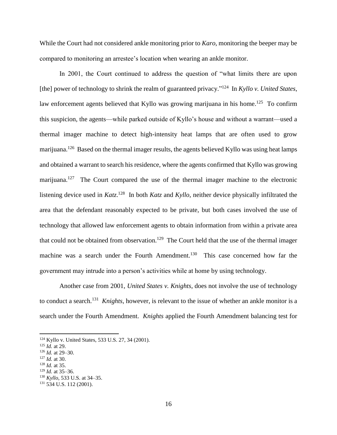While the Court had not considered ankle monitoring prior to *Karo*, monitoring the beeper may be compared to monitoring an arrestee's location when wearing an ankle monitor.

In 2001, the Court continued to address the question of "what limits there are upon [the] power of technology to shrink the realm of guaranteed privacy."<sup>124</sup> In *Kyllo v. United States*, law enforcement agents believed that Kyllo was growing marijuana in his home.<sup>125</sup> To confirm this suspicion, the agents—while parked outside of Kyllo's house and without a warrant—used a thermal imager machine to detect high-intensity heat lamps that are often used to grow marijuana.<sup>126</sup> Based on the thermal imager results, the agents believed Kyllo was using heat lamps and obtained a warrant to search his residence, where the agents confirmed that Kyllo was growing marijuana.<sup>127</sup> The Court compared the use of the thermal imager machine to the electronic listening device used in *Katz*. <sup>128</sup> In both *Katz* and *Kyllo*, neither device physically infiltrated the area that the defendant reasonably expected to be private, but both cases involved the use of technology that allowed law enforcement agents to obtain information from within a private area that could not be obtained from observation.<sup>129</sup> The Court held that the use of the thermal imager machine was a search under the Fourth Amendment.<sup>130</sup> This case concerned how far the government may intrude into a person's activities while at home by using technology.

Another case from 2001, *United States v. Knights*, does not involve the use of technology to conduct a search. <sup>131</sup> *Knights*, however, is relevant to the issue of whether an ankle monitor is a search under the Fourth Amendment. *Knights* applied the Fourth Amendment balancing test for

<sup>124</sup> Kyllo v. United States, 533 U.S. 27, 34 (2001).

<sup>125</sup> *Id.* at 29.

<sup>126</sup> *Id.* at 29–30.

<sup>127</sup> *Id.* at 30.

<sup>128</sup> *Id.* at 35.

<sup>129</sup> *Id.* at 35–36.

<sup>130</sup> *Kyllo*, 533 U.S. at 34–35.

 $131\ 534\ U.S.$  112 (2001).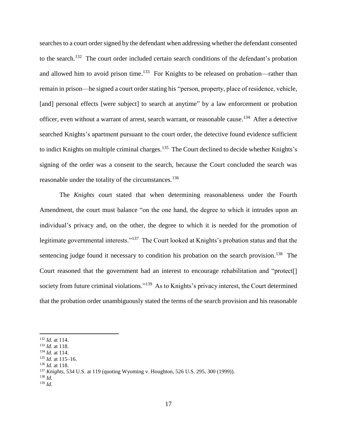searches to a court order signed by the defendant when addressing whether the defendant consented to the search.<sup>132</sup> The court order included certain search conditions of the defendant's probation and allowed him to avoid prison time.<sup>133</sup> For Knights to be released on probation—rather than remain in prison—he signed a court order stating his "person, property, place of residence, vehicle, [and] personal effects [were subject] to search at anytime" by a law enforcement or probation officer, even without a warrant of arrest, search warrant, or reasonable cause.<sup>134</sup> After a detective searched Knights's apartment pursuant to the court order, the detective found evidence sufficient to indict Knights on multiple criminal charges.<sup>135</sup> The Court declined to decide whether Knights's signing of the order was a consent to the search, because the Court concluded the search was reasonable under the totality of the circumstances.<sup>136</sup>

The *Knights* court stated that when determining reasonableness under the Fourth Amendment, the court must balance "on the one hand, the degree to which it intrudes upon an individual's privacy and, on the other, the degree to which it is needed for the promotion of legitimate governmental interests."<sup>137</sup> The Court looked at Knights's probation status and that the sentencing judge found it necessary to condition his probation on the search provision.<sup>138</sup> The Court reasoned that the government had an interest to encourage rehabilitation and "protect[] society from future criminal violations."<sup>139</sup> As to Knights's privacy interest, the Court determined that the probation order unambiguously stated the terms of the search provision and his reasonable

<sup>132</sup> *Id.* at 114.

<sup>133</sup> *Id.* at 118.

<sup>134</sup> *Id.* at 114.

<sup>135</sup> *Id.* at 115–16.

<sup>136</sup> *Id.* at 118.

<sup>137</sup> *Knights*, 534 U.S. at 119 (quoting Wyoming v. Houghton, 526 U.S. 295, 300 (1999)).

<sup>138</sup> *Id.*

<sup>139</sup> *Id.*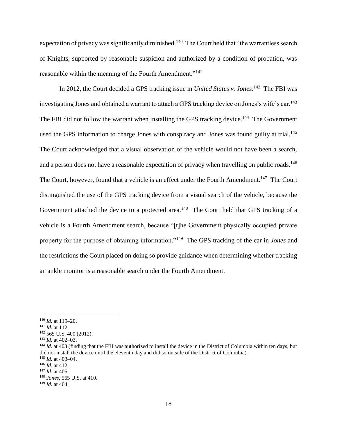expectation of privacy was significantly diminished.<sup>140</sup> The Court held that "the warrantless search of Knights, supported by reasonable suspicion and authorized by a condition of probation, was reasonable within the meaning of the Fourth Amendment."<sup>141</sup>

In 2012, the Court decided a GPS tracking issue in *United States v. Jones*.<sup>142</sup> The FBI was investigating Jones and obtained a warrant to attach a GPS tracking device on Jones's wife's car.<sup>143</sup> The FBI did not follow the warrant when installing the GPS tracking device.<sup>144</sup> The Government used the GPS information to charge Jones with conspiracy and Jones was found guilty at trial.<sup>145</sup> The Court acknowledged that a visual observation of the vehicle would not have been a search, and a person does not have a reasonable expectation of privacy when travelling on public roads.<sup>146</sup> The Court, however, found that a vehicle is an effect under the Fourth Amendment.<sup>147</sup> The Court distinguished the use of the GPS tracking device from a visual search of the vehicle, because the Government attached the device to a protected area.<sup>148</sup> The Court held that GPS tracking of a vehicle is a Fourth Amendment search, because "[t]he Government physically occupied private property for the purpose of obtaining information."<sup>149</sup> The GPS tracking of the car in *Jones* and the restrictions the Court placed on doing so provide guidance when determining whether tracking an ankle monitor is a reasonable search under the Fourth Amendment.

<sup>140</sup> *Id.* at 119–20.

<sup>141</sup> *Id.* at 112.

<sup>142</sup> 565 U.S. 400 (2012).

<sup>143</sup> *Id.* at 402–03.

<sup>&</sup>lt;sup>144</sup> *Id.* at 403 (finding that the FBI was authorized to install the device in the District of Columbia within ten days, but did not install the device until the eleventh day and did so outside of the District of Columbia).

<sup>145</sup> *Id.* at 403–04. <sup>146</sup> *Id.* at 412.

<sup>147</sup> *Id.* at 405.

<sup>148</sup> *Jones*, 565 U.S. at 410.

<sup>149</sup> *Id.* at 404.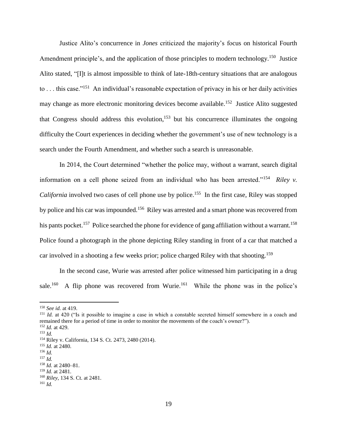Justice Alito's concurrence in *Jones* criticized the majority's focus on historical Fourth Amendment principle's, and the application of those principles to modern technology.<sup>150</sup> Justice Alito stated, "[I]t is almost impossible to think of late-18th-century situations that are analogous to ... this case."<sup>151</sup> An individual's reasonable expectation of privacy in his or her daily activities may change as more electronic monitoring devices become available.<sup>152</sup> Justice Alito suggested that Congress should address this evolution,<sup>153</sup> but his concurrence illuminates the ongoing difficulty the Court experiences in deciding whether the government's use of new technology is a search under the Fourth Amendment, and whether such a search is unreasonable.

In 2014, the Court determined "whether the police may, without a warrant, search digital information on a cell phone seized from an individual who has been arrested."<sup>154</sup> *Riley v. California* involved two cases of cell phone use by police.<sup>155</sup> In the first case, Riley was stopped by police and his car was impounded.<sup>156</sup> Riley was arrested and a smart phone was recovered from his pants pocket.<sup>157</sup> Police searched the phone for evidence of gang affiliation without a warrant.<sup>158</sup> Police found a photograph in the phone depicting Riley standing in front of a car that matched a car involved in a shooting a few weeks prior; police charged Riley with that shooting.<sup>159</sup>

In the second case, Wurie was arrested after police witnessed him participating in a drug sale.<sup>160</sup> A flip phone was recovered from Wurie.<sup>161</sup> While the phone was in the police's

<sup>150</sup> *See id.* at 419.

<sup>&</sup>lt;sup>151</sup> *Id.* at 420 ("Is it possible to imagine a case in which a constable secreted himself somewhere in a coach and remained there for a period of time in order to monitor the movements of the coach's owner?"). <sup>152</sup> *Id.* at 429.

<sup>153</sup> *Id.*

<sup>154</sup> Riley v. California, 134 S. Ct. 2473, 2480 (2014).

<sup>155</sup> *Id.* at 2480.

<sup>156</sup> *Id.*

<sup>157</sup> *Id.*

<sup>158</sup> *Id.* at 2480–81.

<sup>159</sup> *Id.* at 2481.

<sup>160</sup> *Riley*, 134 S. Ct. at 2481.

<sup>161</sup> *Id.*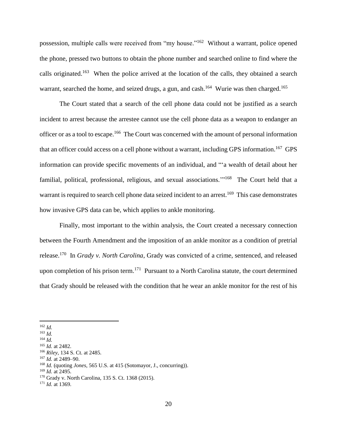possession, multiple calls were received from "my house."<sup>162</sup> Without a warrant, police opened the phone, pressed two buttons to obtain the phone number and searched online to find where the calls originated.<sup>163</sup> When the police arrived at the location of the calls, they obtained a search warrant, searched the home, and seized drugs, a gun, and cash.<sup>164</sup> Wurie was then charged.<sup>165</sup>

The Court stated that a search of the cell phone data could not be justified as a search incident to arrest because the arrestee cannot use the cell phone data as a weapon to endanger an officer or as a tool to escape.<sup>166</sup> The Court was concerned with the amount of personal information that an officer could access on a cell phone without a warrant, including GPS information. <sup>167</sup> GPS information can provide specific movements of an individual, and "'a wealth of detail about her familial, political, professional, religious, and sexual associations."<sup>168</sup> The Court held that a warrant is required to search cell phone data seized incident to an arrest.<sup>169</sup> This case demonstrates how invasive GPS data can be, which applies to ankle monitoring.

Finally, most important to the within analysis, the Court created a necessary connection between the Fourth Amendment and the imposition of an ankle monitor as a condition of pretrial release.<sup>170</sup> In *Grady v. North Carolina*, Grady was convicted of a crime, sentenced, and released upon completion of his prison term.<sup>171</sup> Pursuant to a North Carolina statute, the court determined that Grady should be released with the condition that he wear an ankle monitor for the rest of his

 $\overline{a}$ <sup>162</sup> *Id.*

<sup>163</sup> *Id.*

<sup>164</sup> *Id.*

<sup>165</sup> *Id.* at 2482.

<sup>166</sup> *Riley*, 134 S. Ct. at 2485.

<sup>167</sup> *Id.* at 2489–90.

<sup>168</sup> *Id.* (quoting *Jones*, 565 U.S. at 415 (Sotomayor, J., concurring)).

<sup>169</sup> *Id.* at 2495.

<sup>170</sup> Grady v. North Carolina, 135 S. Ct. 1368 (2015).

<sup>171</sup> *Id.* at 1369.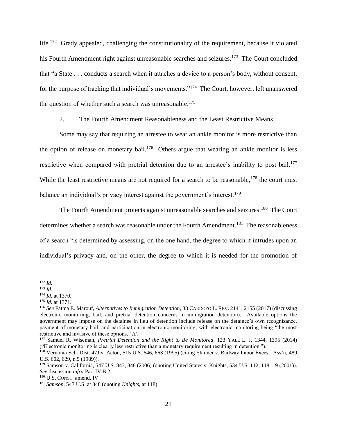life.<sup>172</sup> Grady appealed, challenging the constitutionality of the requirement, because it violated his Fourth Amendment right against unreasonable searches and seizures.<sup>173</sup> The Court concluded that "a State . . . conducts a search when it attaches a device to a person's body, without consent, for the purpose of tracking that individual's movements."<sup>174</sup> The Court, however, left unanswered the question of whether such a search was unreasonable.<sup>175</sup>

<span id="page-21-0"></span>2. The Fourth Amendment Reasonableness and the Least Restrictive Means

Some may say that requiring an arrestee to wear an ankle monitor is more restrictive than the option of release on monetary bail.<sup>176</sup> Others argue that wearing an ankle monitor is less restrictive when compared with pretrial detention due to an arrestee's inability to post bail.<sup>177</sup> While the least restrictive means are not required for a search to be reasonable,  $178$  the court must balance an individual's privacy interest against the government's interest.<sup>179</sup>

The Fourth Amendment protects against unreasonable searches and seizures.<sup>180</sup> The Court determines whether a search was reasonable under the Fourth Amendment.<sup>181</sup> The reasonableness of a search "is determined by assessing, on the one hand, the degree to which it intrudes upon an individual's privacy and, on the other, the degree to which it is needed for the promotion of

 $\overline{a}$ <sup>172</sup> *Id.*

<sup>173</sup> *Id.*

<sup>174</sup> *Id.* at 1370.

<sup>175</sup> *Id.* at 1371.

<sup>176</sup> *See* Fatma E. Marouf, *Alternatives to Immigration Detention*, 38 CARDOZO L. REV. 2141, 2155 (2017) (discussing electronic monitoring, bail, and pretrial detention concerns in immigration detention). Available options the government may impose on the detainee in lieu of detention include release on the detainee's own recognizance, payment of monetary bail, and participation in electronic monitoring, with electronic monitoring being "the most restrictive and invasive of these options." *Id.*

<sup>177</sup> Samuel R. Wiseman, *Pretrial Detention and the Right to Be Monitored*, 123 YALE L. J. 1344, 1395 (2014) ("Electronic monitoring is clearly less restrictive than a monetary requirement resulting in detention.").

<sup>178</sup> Vernonia Sch. Dist. 47J v. Acton, 515 U.S. 646, 663 (1995) (citing Skinner v. Railway Labor Execs.' Ass'n, 489 U.S. 602, 629, n.9 (1989)).

<sup>179</sup> Samson v. California, 547 U.S. 843, 848 (2006) (quoting United States v. Knights, 534 U.S. 112, 118–19 (2001)). *See* discussion *infra* Part IV.B.2.

<sup>180</sup> U.S. CONST. amend. IV.

<sup>181</sup> *Samson*, 547 U.S. at 848 (quoting *Knights*, at 118).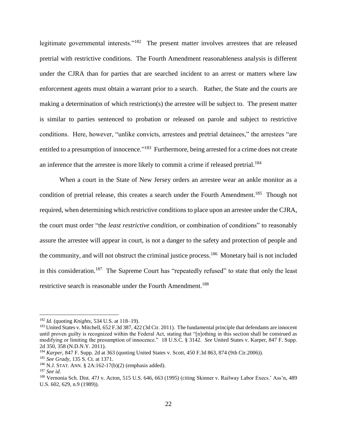legitimate governmental interests."<sup>182</sup> The present matter involves arrestees that are released pretrial with restrictive conditions. The Fourth Amendment reasonableness analysis is different under the CJRA than for parties that are searched incident to an arrest or matters where law enforcement agents must obtain a warrant prior to a search. Rather, the State and the courts are making a determination of which restriction(s) the arrestee will be subject to. The present matter is similar to parties sentenced to probation or released on parole and subject to restrictive conditions. Here, however, "unlike convicts, arrestees and pretrial detainees," the arrestees "are entitled to a presumption of innocence."<sup>183</sup> Furthermore, being arrested for a crime does not create an inference that the arrestee is more likely to commit a crime if released pretrial.<sup>184</sup>

When a court in the State of New Jersey orders an arrestee wear an ankle monitor as a condition of pretrial release, this creates a search under the Fourth Amendment.<sup>185</sup> Though not required, when determining which restrictive conditions to place upon an arrestee under the CJRA, the court must order "the *least restrictive condition*, or combination of conditions" to reasonably assure the arrestee will appear in court, is not a danger to the safety and protection of people and the community, and will not obstruct the criminal justice process.<sup>186</sup> Monetary bail is not included in this consideration.<sup>187</sup> The Supreme Court has "repeatedly refused" to state that only the least restrictive search is reasonable under the Fourth Amendment.<sup>188</sup>

<sup>182</sup> *Id.* (quoting *Knights*, 534 U.S. at 118–19).

<sup>&</sup>lt;sup>183</sup> United States v. Mitchell, 652 F.3d 387, 422 (3d Cir. 2011). The fundamental principle that defendants are innocent until proven guilty is recognized within the Federal Act, stating that "[n]othing in this section shall be construed as modifying or limiting the presumption of innocence." 18 U.S.C. § 3142. *See* United States v. Karper, 847 F. Supp. 2d 350, 358 (N.D.N.Y. 2011).

<sup>184</sup> *Karper*, 847 F. Supp. 2d at 363 (quoting United States v. Scott, 450 F.3d 863, 874 (9th Cir.2006)).

<sup>185</sup> *See Grady*, 135 S. Ct. at 1371.

<sup>186</sup> N.J. STAT. ANN. § 2A:162-17(b)(2) (emphasis added).

<sup>187</sup> *See id*.

<sup>188</sup> Vernonia Sch. Dist. 47J v. Acton, 515 U.S. 646, 663 (1995) (citing Skinner v. Railway Labor Execs.' Ass'n, 489 U.S. 602, 629, n.9 (1989)).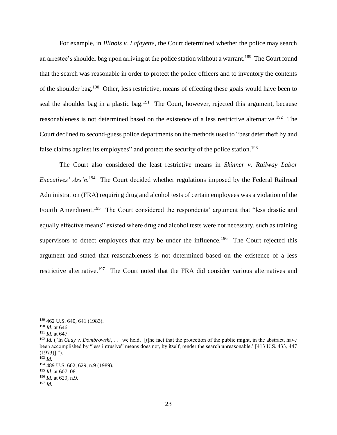For example, in *Illinois v. Lafayette*, the Court determined whether the police may search an arrestee's shoulder bag upon arriving at the police station without a warrant.<sup>189</sup> The Court found that the search was reasonable in order to protect the police officers and to inventory the contents of the shoulder bag.<sup>190</sup> Other, less restrictive, means of effecting these goals would have been to seal the shoulder bag in a plastic bag.<sup>191</sup> The Court, however, rejected this argument, because reasonableness is not determined based on the existence of a less restrictive alternative.<sup>192</sup> The Court declined to second-guess police departments on the methods used to "best deter theft by and false claims against its employees" and protect the security of the police station.<sup>193</sup>

The Court also considered the least restrictive means in *Skinner v. Railway Labor Executives' Ass'n*.<sup>194</sup> The Court decided whether regulations imposed by the Federal Railroad Administration (FRA) requiring drug and alcohol tests of certain employees was a violation of the Fourth Amendment.<sup>195</sup> The Court considered the respondents' argument that "less drastic and equally effective means" existed where drug and alcohol tests were not necessary, such as training supervisors to detect employees that may be under the influence.<sup>196</sup> The Court rejected this argument and stated that reasonableness is not determined based on the existence of a less restrictive alternative.<sup>197</sup> The Court noted that the FRA did consider various alternatives and

<sup>189</sup> 462 U.S. 640, 641 (1983).

<sup>190</sup> *Id.* at 646.

<sup>191</sup> *Id.* at 647.

<sup>&</sup>lt;sup>192</sup> *Id.* ("In *Cady v. Dombrowski*, ... we held, '[t]he fact that the protection of the public might, in the abstract, have been accomplished by "less intrusive" means does not, by itself, render the search unreasonable.' [413 U.S. 433, 447  $(1973)!$ .").

<sup>193</sup> *Id.*

<sup>194</sup> 489 U.S. 602, 629, n.9 (1989).

<sup>195</sup> *Id.* at 607–08.

<sup>196</sup> *Id.* at 629, n.9.

<sup>197</sup> *Id.*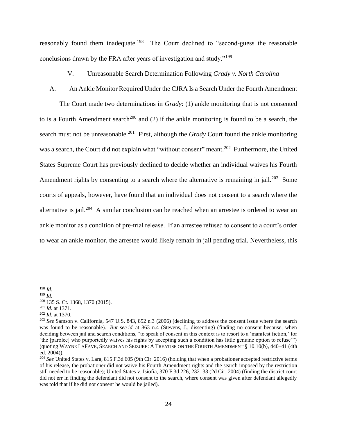reasonably found them inadequate.<sup>198</sup> The Court declined to "second-guess the reasonable conclusions drawn by the FRA after years of investigation and study."<sup>199</sup>

- V. Unreasonable Search Determination Following *Grady v. North Carolina*
- A. An Ankle Monitor Required Under the CJRA Is a Search Under the Fourth Amendment

The Court made two determinations in *Grady*: (1) ankle monitoring that is not consented to is a Fourth Amendment search<sup>200</sup> and (2) if the ankle monitoring is found to be a search, the search must not be unreasonable.<sup>201</sup> First, although the *Grady* Court found the ankle monitoring was a search, the Court did not explain what "without consent" meant.<sup>202</sup> Furthermore, the United States Supreme Court has previously declined to decide whether an individual waives his Fourth Amendment rights by consenting to a search where the alternative is remaining in jail.<sup>203</sup> Some courts of appeals, however, have found that an individual does not consent to a search where the alternative is jail.<sup>204</sup> A similar conclusion can be reached when an arrestee is ordered to wear an ankle monitor as a condition of pre-trial release. If an arrestee refused to consent to a court's order to wear an ankle monitor, the arrestee would likely remain in jail pending trial. Nevertheless, this

 $\overline{a}$ 

<sup>202</sup> *Id.* at 1370.

<sup>198</sup> *Id.*

<sup>199</sup> *Id.*

<sup>200</sup> 135 S. Ct. 1368, 1370 (2015).

<sup>201</sup> *Id.* at 1371.

<sup>203</sup> *See* Samson v. California, 547 U.S. 843, 852 n.3 (2006) (declining to address the consent issue where the search was found to be reasonable). *But see id.* at 863 n.4 (Stevens, J., dissenting) (finding no consent because, when deciding between jail and search conditions, "to speak of consent in this context is to resort to a 'manifest fiction,' for 'the [parolee] who purportedly waives his rights by accepting such a condition has little genuine option to refuse'") (quoting WAYNE LAFAVE, SEARCH AND SEIZURE: A TREATISE ON THE FOURTH AMENDMENT § 10.10(b), 440–41 (4th ed. 2004)).

<sup>204</sup> *See* United States v. Lara, 815 F.3d 605 (9th Cir. 2016) (holding that when a probationer accepted restrictive terms of his release, the probationer did not waive his Fourth Amendment rights and the search imposed by the restriction still needed to be reasonable); United States v. Isiofia, 370 F.3d 226, 232–33 (2d Cir. 2004) (finding the district court did not err in finding the defendant did not consent to the search, where consent was given after defendant allegedly was told that if he did not consent he would be jailed).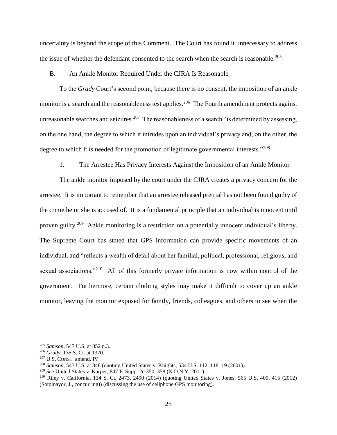uncertainty is beyond the scope of this Comment. The Court has found it unnecessary to address the issue of whether the defendant consented to the search when the search is reasonable.<sup>205</sup>

#### B. An Ankle Monitor Required Under the CJRA Is Reasonable

To the *Grady* Court's second point, because there is no consent, the imposition of an ankle monitor is a search and the reasonableness test applies.<sup>206</sup> The Fourth amendment protects against unreasonable searches and seizures.<sup>207</sup> The reasonableness of a search "is determined by assessing, on the one hand, the degree to which it intrudes upon an individual's privacy and, on the other, the degree to which it is needed for the promotion of legitimate governmental interests."<sup>208</sup>

1. The Arrestee Has Privacy Interests Against the Imposition of an Ankle Monitor

The ankle monitor imposed by the court under the CJRA creates a privacy concern for the arrestee. It is important to remember that an arrestee released pretrial has not been found guilty of the crime he or she is accused of. It is a fundamental principle that an individual is innocent until proven guilty.<sup>209</sup> Ankle monitoring is a restriction on a potentially innocent individual's liberty. The Supreme Court has stated that GPS information can provide specific movements of an individual, and "reflects a wealth of detail about her familial, political, professional, religious, and sexual associations."<sup>210</sup> All of this formerly private information is now within control of the government. Furthermore, certain clothing styles may make it difficult to cover up an ankle monitor, leaving the monitor exposed for family, friends, colleagues, and others to see when the

<sup>205</sup> *Samson*, 547 U.S. at 852 n.3.

<sup>206</sup> *Grady*, 135 S. Ct. at 1370.

<sup>207</sup> U.S. CONST. amend. IV.

<sup>208</sup> *Samson*, 547 U.S. at 848 (quoting United States v. Knights, 534 U.S. 112, 118–19 (2001)).

<sup>209</sup> *See* United States v. Karper, 847 F. Supp. 2d 350, 358 (N.D.N.Y. 2011).

<sup>210</sup> Riley v. California, 134 S. Ct. 2473, 2490 (2014) (quoting United States v. Jones, 565 U.S. 400, 415 (2012) (Sotomayor, J., concurring)) (discussing the use of cellphone GPS monitoring).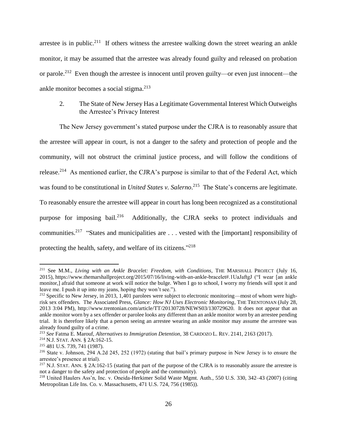arrestee is in public.<sup>211</sup> If others witness the arrestee walking down the street wearing an ankle monitor, it may be assumed that the arrestee was already found guilty and released on probation or parole.<sup>212</sup> Even though the arrestee is innocent until proven guilty—or even just innocent—the ankle monitor becomes a social stigma.<sup>213</sup>

# 2. The State of New Jersey Has a Legitimate Governmental Interest Which Outweighs the Arrestee's Privacy Interest

The New Jersey government's stated purpose under the CJRA is to reasonably assure that the arrestee will appear in court, is not a danger to the safety and protection of people and the community, will not obstruct the criminal justice process, and will follow the conditions of release.<sup>214</sup> As mentioned earlier, the CJRA's purpose is similar to that of the Federal Act, which was found to be constitutional in *United States v. Salerno*. <sup>215</sup> The State's concerns are legitimate. To reasonably ensure the arrestee will appear in court has long been recognized as a constitutional purpose for imposing bail.<sup>216</sup> Additionally, the CJRA seeks to protect individuals and communities.<sup>217</sup> "States and municipalities are  $\ldots$  vested with the [important] responsibility of protecting the health, safety, and welfare of its citizens."<sup>218</sup>

<sup>211</sup> See M.M., *Living with an Ankle Bracelet: Freedom, with Conditions*, THE MARSHALL PROJECT (July 16, 2015), https://www.themarshallproject.org/2015/07/16/living-with-an-ankle-bracelet#.1UaJaftgJ ("I wear [an ankle monitor,] afraid that someone at work will notice the bulge. When I go to school, I worry my friends will spot it and leave me. I push it up into my jeans, hoping they won't see.").

<sup>&</sup>lt;sup>212</sup> Specific to New Jersey, in 2013, 1,401 parolees were subject to electronic monitoring—most of whom were highrisk sex offenders. The Associated Press, *Glance: How NJ Uses Electronic Monitoring*, THE TRENTONIAN (July 28, 2013 3:04 PM), http://www.trentonian.com/article/TT/20130728/NEWS03/130729620. It does not appear that an ankle monitor worn by a sex offender or parolee looks any different than an ankle monitor worn by an arrestee pending trial. It is therefore likely that a person seeing an arrestee wearing an ankle monitor may assume the arrestee was already found guilty of a crime.

<sup>213</sup> *See* Fatma E. Marouf, *Alternatives to Immigration Detention*, 38 CARDOZO L. REV. 2141, 2163 (2017).

<sup>214</sup> N.J. STAT. ANN. § 2A:162-15.

<sup>215</sup> 481 U.S. 739, 741 (1987).

<sup>216</sup> State v. Johnson, 294 A.2d 245, 252 (1972) (stating that bail's primary purpose in New Jersey is to ensure the arrestee's presence at trial).

<sup>&</sup>lt;sup>217</sup> N.J. STAT. ANN. § 2A:162-15 (stating that part of the purpose of the CJRA is to reasonably assure the arrestee is not a danger to the safety and protection of people and the community).

<sup>218</sup> United Haulers Ass'n, Inc. v. Oneida-Herkimer Solid Waste Mgmt. Auth., 550 U.S. 330, 342–43 (2007) (citing Metropolitan Life Ins. Co. v. Massachusetts, 471 U.S. 724, 756 (1985)).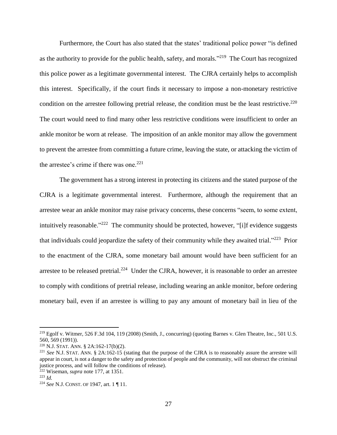Furthermore, the Court has also stated that the states' traditional police power "is defined as the authority to provide for the public health, safety, and morals."<sup>219</sup> The Court has recognized this police power as a legitimate governmental interest. The CJRA certainly helps to accomplish this interest. Specifically, if the court finds it necessary to impose a non-monetary restrictive condition on the arrestee following pretrial release, the condition must be the least restrictive.<sup>220</sup> The court would need to find many other less restrictive conditions were insufficient to order an ankle monitor be worn at release. The imposition of an ankle monitor may allow the government to prevent the arrestee from committing a future crime, leaving the state, or attacking the victim of the arrestee's crime if there was one.<sup>221</sup>

The government has a strong interest in protecting its citizens and the stated purpose of the CJRA is a legitimate governmental interest. Furthermore, although the requirement that an arrestee wear an ankle monitor may raise privacy concerns, these concerns "seem, to some extent, intuitively reasonable."<sup>222</sup> The community should be protected, however, "[i]f evidence suggests that individuals could jeopardize the safety of their community while they awaited trial."<sup>223</sup> Prior to the enactment of the CJRA, some monetary bail amount would have been sufficient for an arrestee to be released pretrial.<sup>224</sup> Under the CJRA, however, it is reasonable to order an arrestee to comply with conditions of pretrial release, including wearing an ankle monitor, before ordering monetary bail, even if an arrestee is willing to pay any amount of monetary bail in lieu of the

<sup>219</sup> Egolf v. Witmer, 526 F.3d 104, 119 (2008) (Smith, J., concurring) (quoting Barnes v. Glen Theatre, Inc.*,* 501 U.S. 560, 569 (1991)).

<sup>220</sup> N.J. STAT. ANN. § 2A:162-17(b)(2).

<sup>221</sup> *See* N.J. STAT. ANN. § 2A:162-15 (stating that the purpose of the CJRA is to reasonably assure the arrestee will appear in court, is not a danger to the safety and protection of people and the community, will not obstruct the criminal justice process, and will follow the conditions of release).

<sup>222</sup> Wiseman, *supra* note [177,](#page-21-0) at 1351.

<sup>223</sup> *Id.*

<sup>224</sup> *See* N.J. CONST. OF 1947, art. 1 ¶ 11.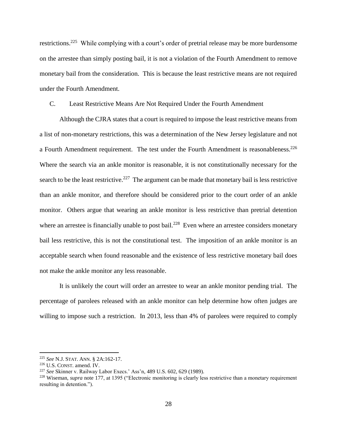restrictions.<sup>225</sup> While complying with a court's order of pretrial release may be more burdensome on the arrestee than simply posting bail, it is not a violation of the Fourth Amendment to remove monetary bail from the consideration. This is because the least restrictive means are not required under the Fourth Amendment.

# C. Least Restrictive Means Are Not Required Under the Fourth Amendment

Although the CJRA states that a court is required to impose the least restrictive means from a list of non-monetary restrictions, this was a determination of the New Jersey legislature and not a Fourth Amendment requirement. The test under the Fourth Amendment is reasonableness.<sup>226</sup> Where the search via an ankle monitor is reasonable, it is not constitutionally necessary for the search to be the least restrictive.<sup>227</sup> The argument can be made that monetary bail is less restrictive than an ankle monitor, and therefore should be considered prior to the court order of an ankle monitor. Others argue that wearing an ankle monitor is less restrictive than pretrial detention where an arrestee is financially unable to post bail.<sup>228</sup> Even where an arrestee considers monetary bail less restrictive, this is not the constitutional test. The imposition of an ankle monitor is an acceptable search when found reasonable and the existence of less restrictive monetary bail does not make the ankle monitor any less reasonable.

It is unlikely the court will order an arrestee to wear an ankle monitor pending trial. The percentage of parolees released with an ankle monitor can help determine how often judges are willing to impose such a restriction. In 2013, less than 4% of parolees were required to comply

<sup>225</sup> *See* N.J. STAT. ANN. § 2A:162-17.

<sup>226</sup> U.S. CONST. amend. IV.

<sup>227</sup> *See* Skinner v. Railway Labor Execs.' Ass'n, 489 U.S. 602, 629 (1989).

<sup>228</sup> Wiseman, *supra* note [177,](#page-21-0) at 1395 ("Electronic monitoring is clearly less restrictive than a monetary requirement resulting in detention.").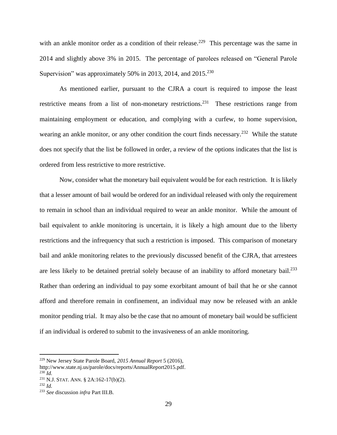with an ankle monitor order as a condition of their release.<sup>229</sup> This percentage was the same in 2014 and slightly above 3% in 2015. The percentage of parolees released on "General Parole Supervision" was approximately 50% in 2013, 2014, and  $2015^{230}$ 

As mentioned earlier, pursuant to the CJRA a court is required to impose the least restrictive means from a list of non-monetary restrictions.<sup>231</sup> These restrictions range from maintaining employment or education, and complying with a curfew, to home supervision, wearing an ankle monitor, or any other condition the court finds necessary.<sup>232</sup> While the statute does not specify that the list be followed in order, a review of the options indicates that the list is ordered from less restrictive to more restrictive.

Now, consider what the monetary bail equivalent would be for each restriction. It is likely that a lesser amount of bail would be ordered for an individual released with only the requirement to remain in school than an individual required to wear an ankle monitor. While the amount of bail equivalent to ankle monitoring is uncertain, it is likely a high amount due to the liberty restrictions and the infrequency that such a restriction is imposed. This comparison of monetary bail and ankle monitoring relates to the previously discussed benefit of the CJRA, that arrestees are less likely to be detained pretrial solely because of an inability to afford monetary bail.<sup>233</sup> Rather than ordering an individual to pay some exorbitant amount of bail that he or she cannot afford and therefore remain in confinement, an individual may now be released with an ankle monitor pending trial. It may also be the case that no amount of monetary bail would be sufficient if an individual is ordered to submit to the invasiveness of an ankle monitoring.

<sup>229</sup> New Jersey State Parole Board, *2015 Annual Report* 5 (2016),

http://www.state.nj.us/parole/docs/reports/AnnualReport2015.pdf.  $^{230}$ *Id.* 

<sup>231</sup> N.J. STAT. ANN. § 2A:162-17(b)(2).

<sup>232</sup> *Id.*

<sup>233</sup> *See* discussion *infra* Part III.B.